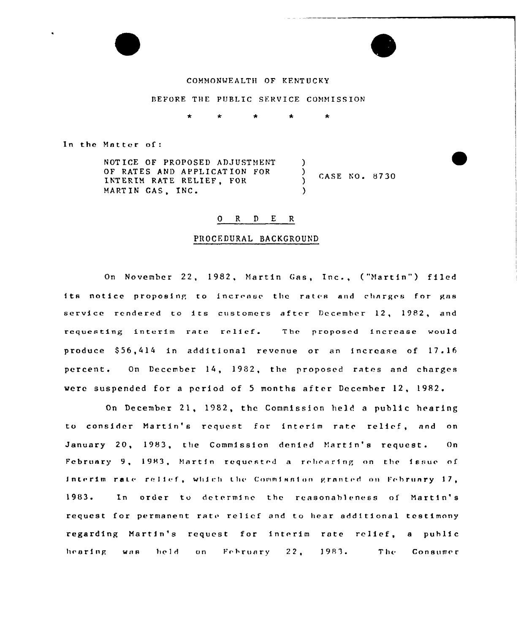

BEFORE THE PUBLIC SERVICE COMMISSION

In the Matter of:

NOTICE OF PROPOSED ADJUSTMENT OF RATES AND APPLICATION FOR  $\lambda$ INTERIM RATE RELIEF. FOR  $\lambda$ MARTIN GAS, INC.  $\lambda$ 

CASE NO. 8730

#### ORDER

#### PROCEDURAL BACKGROUND

On November 22, 1982, Martin Gas, Inc., ("Martin") filed its notice proposing to increase the rates and charges for gas service rendered to its customers after December 12, 1982, and requesting interim rate relief. The proposed increase would produce \$56,414 in additional revenue or an increase of 17.16 percent. On December 14, 1982, the proposed rates and charges were suspended for a period of 5 months after December 12, 1982.

On December 21, 1982, the Commission held a public hearing to consider Martin's request for interim rate relief, and on January 20, 1983, the Commission denied Martin's request.  $O<sub>n</sub>$ February 9, 1983, Martin requested a rebearing on the issue of interim rate relief, which the Commission granted on February 17, 1983. In order to determine the reasonableness of Martin's request for permanent rate relicf and to hear additional testimony regarding Martin's request for interim rate relief. a public hearing was held. on February 22, 1983. The The Consumer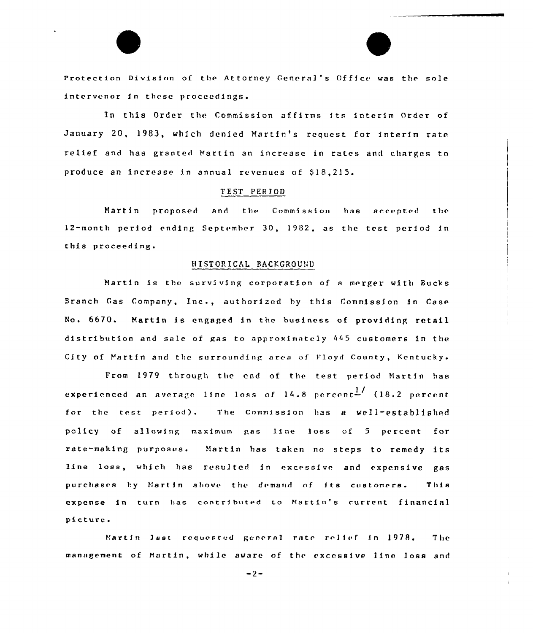Protection Division of the Attorney General's Office was the sole intervenor in these proceedings.

In this Order the Commission affirms its interim Order of January 20, 1983, which denied Martin's request for interim rate relief and has granted Martin an increase in rates and charges to produce an increase in annual revenues of \$18,215.

### TFST PERIOD

Martin proposed and the Commission has accepted the 12-month period ending September 30, 1982, as the test period in this proceeding.

#### HISTORICAL BACKGROUND

Martin is the surviving corporation of <sup>a</sup> merger with Bucks Branch Gas Company, Inc., authorfzed hy this Commissfon in Case No. 6670. Martin is engaged in the business of providing retail distribution and sale of gas to approximately 445 customers in the City of Martin and the surrounding area of Floyd County, Kentucky.

1979 through the end of the test period Martin has experienced an average line loss of  $14.8$  percent $\frac{1}{2}$  (18.2 percent for the test period). The Commission has a well-established policy of allowing maximum gas line loss of 5 percent for rate-making purposes. Martin has taken no steps to remedy its line loss, which has resulted in excessive and expensive gas purchases by Nartin above the demand of its customers. This expense in turn has contributed to Martin's current financial picture.

Martin last requested general rate relief in 1978. The management of Martin, while aware of the excessive line loss and

 $-2-$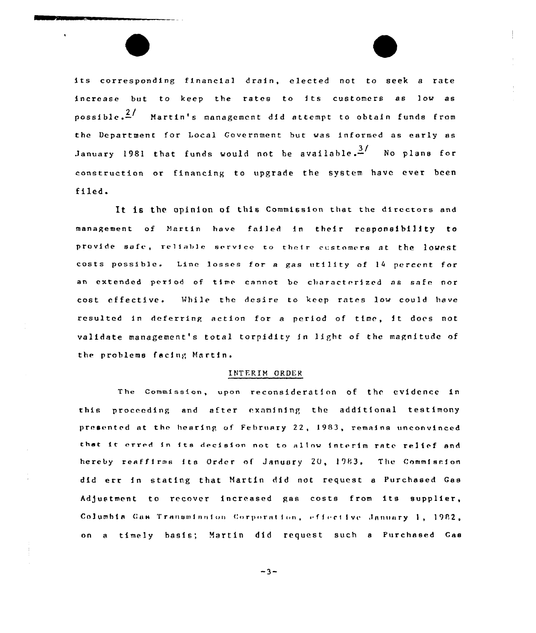its corresponding financial drain, elected not to seek <sup>a</sup> rate increase but to keep the rates to its customers as low as possible. $\frac{2}{r}$  Martin's management did attempt to obtain funds from the Department for Local Government but was informed as early as January 1981 that funds would not be available. $3/$  No plans for construction or financing to upgrade the system have ever been filed.

It is the opinion of this Commission that the directors and management of Hartin have failed in their responsibility to provide safe, reliable service to their customers at the lowest costs possible. Linc losses for <sup>a</sup> gas utility of <sup>14</sup> percent for an extended period of time cannot be characterized as safe nor cost effective. While the desire to keep rates low could have resulted in deferring action for a period of time, it does not validate management's total torpidity in light of the magnitude of the problems facing Martin.

#### INTERIM ORDER

The Commission, upon reconsideration of the evidence in this proceeding and after examining the additional testimony presented at the hearing of February 22, 1983, remains unconvinced that it erred in its decision not to allow interim rate relief and hereby reaffirms its Order of January 20, 1983. The Commission did err in stating that Martin did not request <sup>a</sup> Purchased Gas Adjustment to recover increased gas costs from its supplier, Columbia Gus Transminsion Corporation, effective January 1, 1982, on <sup>a</sup> timely basis; Martin did request such <sup>a</sup> Purchased Caa

 $-3-$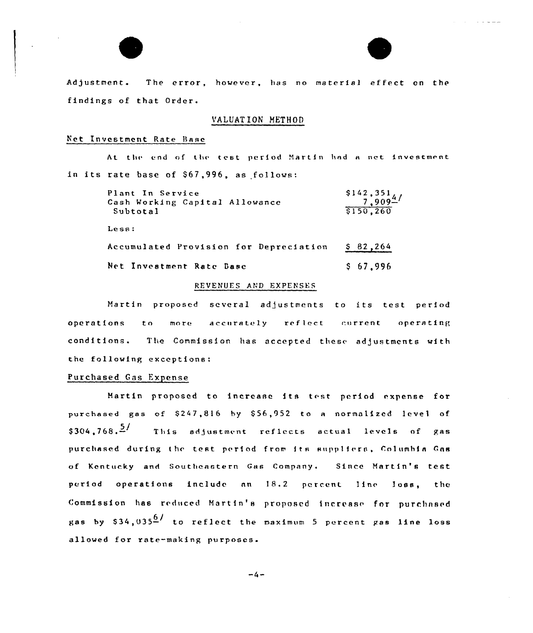

Adjustment. The error, however, has no material effect on the findings of that Grder.

 $\alpha$  , and  $\alpha$  and  $\alpha$ 

### VALUAT ION METHOD

# Net Investment Rate Base

At the end of the test period Martin had a net investment in its rate base of \$67,996, as follows:

| Plant In Service<br>Cash Working Capital Allowance<br>Subtotal | $\frac{$142,351}{7,909}$<br>\$150,260 |
|----------------------------------------------------------------|---------------------------------------|
| Less:                                                          |                                       |
| Accumulated Provision for Depreciation                         | \$82,264                              |
| Net Investment Rate Base                                       | \$67,996                              |

#### REVENUES AND EXPENSES

Hartin proposed several adjustments to its test period operations to more accurately reflect current operating conditions. The Commission has accepted these adjustments with the following exceptions:

### Purchased Gas Expense

Martin proposed to increase its test period expense for purchased gas of \$247,816 by \$56,952 to a normalized level of  $$304.768 \cdot \frac{5}{2}$  This adjustment reflects actual levels of gas purchased during the test period from its suppliers, Columbia Gas of Kentucky and Southeastern Gas Company. Since Martin's test period operations include an 18.2 percent line loss, the Commission has reduced Martin's proposed increase for purchased gas by  $$34,035<sup>6</sup>$  to reflect the maximum 5 percent gas line loss allowed for rate-making purposes.

 $-4-$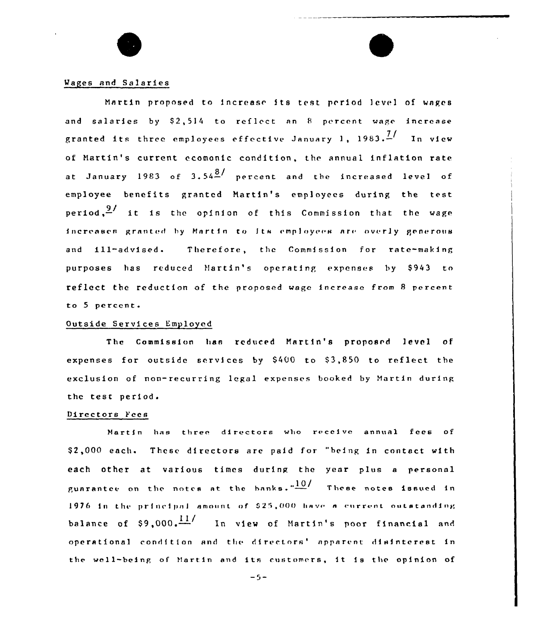### Wages and Salaries

Martin proposed to increase its test period 1cvel of wages and salaries by  $$2,514$  to reflect an 8 percent wage increase granted its three employees effective January 1, 1983. $\frac{1}{2}$  In view of Martin's current ecomonic condition, the annual inflation rate at January 1983 of  $3.54\frac{8}{1}$  percent and the increased level of employee benefits granted Hartin's employees during the test period, $\frac{9}{4}$  it is the opinion of this Commission that the wage increases granted by Martin to Its employees are overly generous and 111-advised. Therefore, the Commission for rate-making purposes has reduced Martin's operating expenses by \$943 to reflect the reduction of the proposed wage increase from 8 percent to 5 percent.

### Outside Services Employed

The Commission lian reduced Hartin's proposed level of expenses for outside services by \$400 to \$3,850 to reflect the exclusion of non-recurring legal expenses booked by Martin during the test period.

#### Directors Fees

Martin has three directors who receive annual fees of \$2,000 each. These directors are paid for "being in contact with each other at various times during the year plus a personal guarantee on the notes at the banks." $\frac{10}{\sqrt{2}}$  These notes issued in 1976 in the principal amount of \$25,000 have a current outatanding balance of \$9,000. $\frac{117}{1000}$  In view of Martin's poor financial and operational condition and the directors' apparent disinterest in the well-being of Martin and its customers, it is the opinion of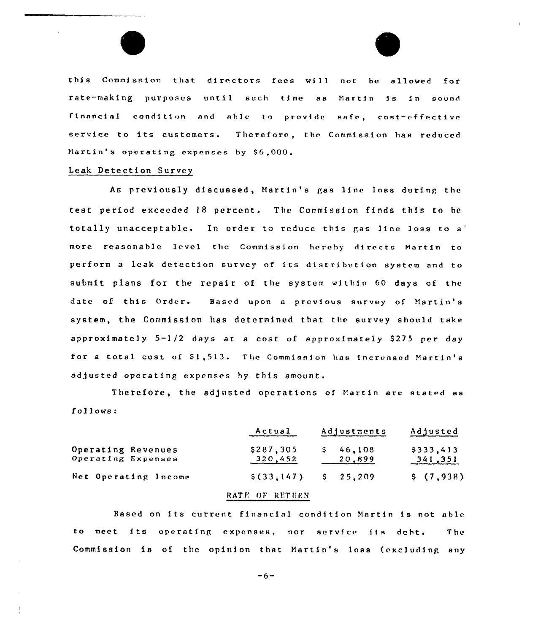this Commission that dirc ctors fees wf 11 not be allowed for rate-making purposes until such time as Martin is in sound financial condition and able to provide safe, cost-effective service to its customers. Therefore, thc Commission has reduced Martin's operating expenses by \$6,000.

### Leak Detection Survey

 $\mid$ 

As previously discussed, Martin's gas line loss during the test period exceeded 18 percent. The Commission finds this to be totally unacceptable. In order to reduce this gas line loss to a' more reasonable level the Commission hereby directs Martin to perform a leak detection survey of its distribution system and to submit plans for the repair of the system within 60 days of the date of this Order. Based upon a previous survey of Martin's system, the Commission has determined that the survey should take approximately  $5-1/2$  days at a cost of approximately \$275 per day for a total cost of  $$1,513$ . The Commission has increased Martin's adjusted operating expenses hy this amount.

Therefore, the adjusted operations of Martin are stated as follows:

|                                          | Actual               | Adjustments      | Adjusted             |  |
|------------------------------------------|----------------------|------------------|----------------------|--|
| Operating Revenues<br>Operating Expenses | \$287,305<br>320,452 | 46,108<br>20,899 | \$333,413<br>341,351 |  |
| Net Operating Income                     | \$(33,147)           | $S = 25.209$     | \$(7,938)            |  |

### RATE OF RETURN

Based on its current financial condition Martin is not able to meet its operating expenses, nor service its debt. The Commission is of the opinion that Martin's loss (excluding any

 $-6-$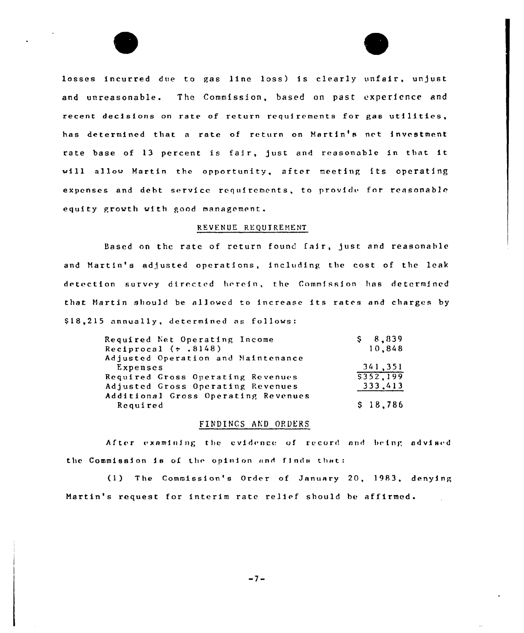losses incurred due to gas line loss) is clearly unfair, unjust and unreasonable. The Commission, based on past experience and recent decisions on rate of return requirements for gas utilities, has determined that a rate of return on Martin's net investment rate base of 13 percent is fair, just and reasonable in that it will allow Martin the opportunity, after meeting its operating expenses and debt service requirements, to provide for reasonable equity growth with good management.

### REVENUE REQUIREMENT

Based on the rate of return found fair, just and reasonable and Martin's adjusted operations, including the cost of the leak detection survey directed herein, the Commission has determined that Martin should be allowed to increase its rates and charges by 518,215 annually, determined as follows:

| \$8,839  |
|----------|
| 10,848   |
|          |
| 341,351  |
| 5352.199 |
| 333,413  |
|          |
| \$18,786 |
|          |

### FINDINGS AND ORDERS

After examining the evidence of record and being advised the Commission is of the opinion and finds that:

(1) The Commission's Order of January 20, 1983, denying Martin's request for interim rate relief should be affirmed.

 $-7-$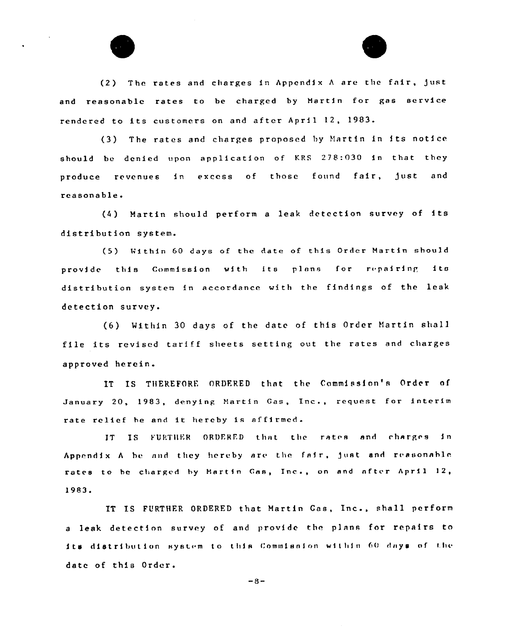

(2) The rates and charges in Appendix <sup>A</sup> are the fair, )ust and reasonable rates to be charged by Hartin for gas service rendered to its customers on and after April 12, 1983.

(3) The rates and charges proposed by Martin in its notice should be denied upon application of KRS 278:030 in that they produce revenues in excess of those found fair, just and reasonable.

(4) Martin should perform <sup>a</sup> leak detection survey of its distribution system.

(5} Within <sup>60</sup> days of the Rate of this Order Hartin should provide this Commission with its plans for repairing its distribution system in accordance with the findings of the leak detection survey.

(6) Within 30 days of the date of this Order Martin shall file its revised tariff sheets setting out the rates and charges approved herein.

IT IS THEREFORE ORDERED that the Commission's Order of January 20, 1983, denying Hartin Gas, Inc., request for interim rate relief be and it hereby is affirmed.

1T IS FURTHER ORDERED that the rates and charges in Appendix A be and they hereby are the fair, just and reasonable rates to be charged by Martin Gas, Inc., on and after April 12, 1983.

IT IS FURTHER ORDERED that Martin Gas, Inc., shall perform a leak detection survey of and provide the plans for repairs to its distribution system to this Commission within 60 days of the date of this Order.

 $-8-$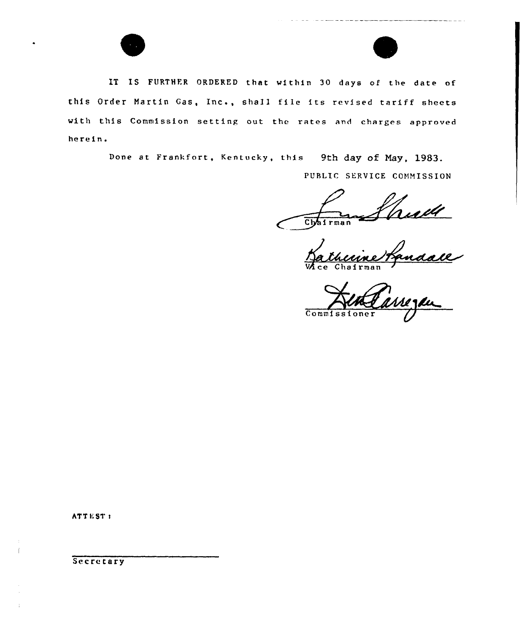



IT IS FURTHER ORDERED that within 30 days of the date of this Order Martin Gas, Inc., shall file its revised tariff sheets with this Commission setting out the rates and charges approved herein.

Done at Frankfort, Kentucky, this 9th day of May, 1983.

PUBLIC SERVICE COMMISSION

rudt Chairman

**VA**ce Chairma

Commissioner

ATTEST <sup>t</sup>

 $\overline{\phantom{a}}$ 

**Secretary**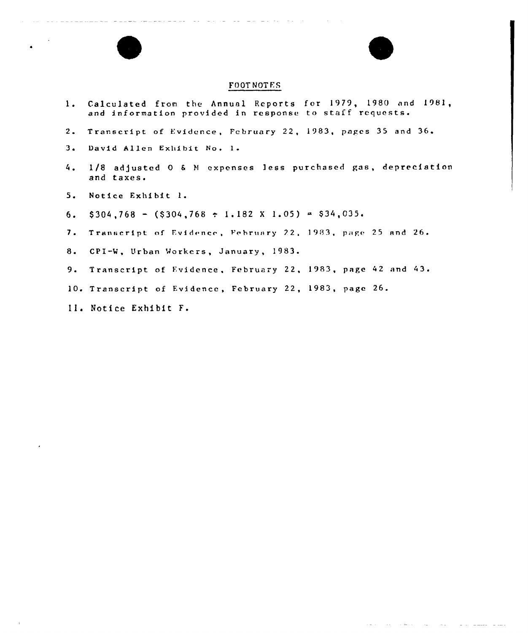

- 4. 1/8 adjusted 0 <sup>6</sup> <sup>N</sup> expenses less purchased gas, depreciation
- 5. Notice Exhibit l.

and taxes.

 $3<sub>1</sub>$ 

- 6.  $$304,768 ($304,768 \div 1.182 \times 1.05) = $34,035.$
- 7. Transcript of Evidence, February 22, 1983, page 25 and 26.
- 8. CF1-W, Urban Workers, January, 1983.
- 9. Transcript of Evidence, February 22, 1983, page 42 and 43.
- 10. Transcript of Fvidence, February 22, 1983, page 26.
- Ill Notice Exhibit F.